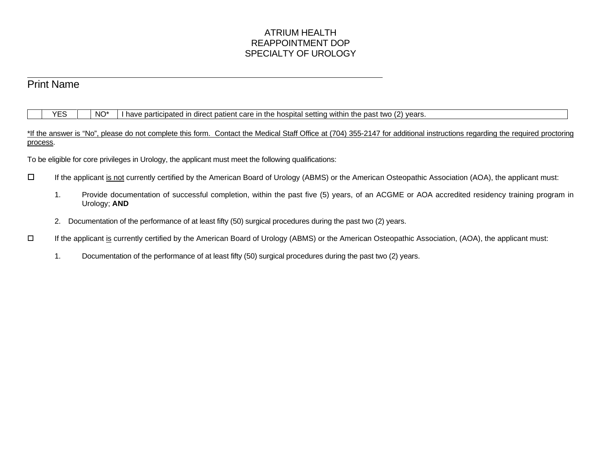## ATRIUM HEALTH REAPPOINTMENT DOP SPECIALTY OF UROLOGY

# Print Name

 $\ddot{\phantom{a}}$ 

 $YES$  NO\* I have participated in direct patient care in the hospital setting within the past two (2) years.

\*If the answer is "No", please do not complete this form. Contact the Medical Staff Office at (704) 355-2147 for additional instructions regarding the required proctoring process.

To be eligible for core privileges in Urology, the applicant must meet the following qualifications:

- If the applicant is not currently certified by the American Board of Urology (ABMS) or the American Osteopathic Association (AOA), the applicant must:
	- 1. Provide documentation of successful completion, within the past five (5) years, of an ACGME or AOA accredited residency training program in Urology; **AND**
	- 2. Documentation of the performance of at least fifty (50) surgical procedures during the past two (2) years.
- If the applicant is currently certified by the American Board of Urology (ABMS) or the American Osteopathic Association, (AOA), the applicant must:
	- 1. Documentation of the performance of at least fifty (50) surgical procedures during the past two (2) years.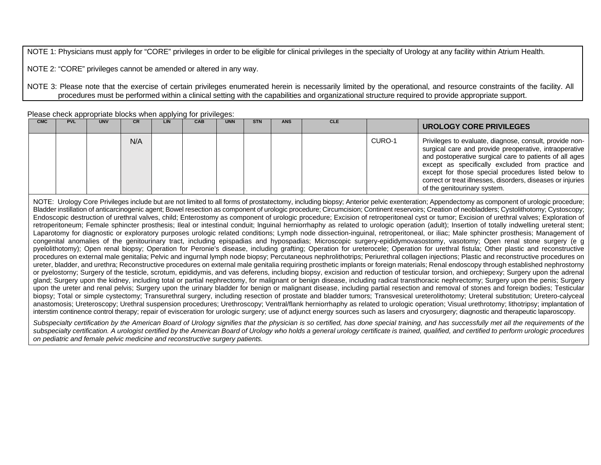NOTE 1: Physicians must apply for "CORE" privileges in order to be eligible for clinical privileges in the specialty of Urology at any facility within Atrium Health.

NOTE 2: "CORE" privileges cannot be amended or altered in any way.

NOTE 3: Please note that the exercise of certain privileges enumerated herein is necessarily limited by the operational, and resource constraints of the facility. All procedures must be performed within a clinical setting with the capabilities and organizational structure required to provide appropriate support.

Please check appropriate blocks when applying for privileges:

| <b>CMC</b> | <b>PVL</b> | <b>UNV</b> | <b>CR</b> | LIN | CAB | <b>UNN</b> | <b>STN</b> | <b>ANS</b> | <b>CLE</b> |        | UROLOGY CORE PRIVILEGES                                                                                                                                                                                                                                                                                                                                                                 |
|------------|------------|------------|-----------|-----|-----|------------|------------|------------|------------|--------|-----------------------------------------------------------------------------------------------------------------------------------------------------------------------------------------------------------------------------------------------------------------------------------------------------------------------------------------------------------------------------------------|
|            |            |            | N/A       |     |     |            |            |            |            | CURO-1 | Privileges to evaluate, diagnose, consult, provide non-<br>surgical care and provide preoperative, intraoperative<br>and postoperative surgical care to patients of all ages<br>except as specifically excluded from practice and<br>except for those special procedures listed below to<br>correct or treat illnesses, disorders, diseases or injuries<br>of the genitourinary system. |

NOTE: Urology Core Privileges include but are not limited to all forms of prostatectomy, including biopsy; Anterior pelvic exenteration; Appendectomy as component of urologic procedure; Bladder instillation of anticarcinogenic agent; Bowel resection as component of urologic procedure; Circumcision; Continent reservoirs; Creation of neobladders; Cystolithotomy; Cystoscopy; Endoscopic destruction of urethral valves, child; Enterostomy as component of urologic procedure; Excision of retroperitoneal cyst or tumor; Excision of urethral valves; Exploration of retroperitoneum; Female sphincter prosthesis; Ileal or intestinal conduit; Inguinal herniorrhaphy as related to urologic operation (adult); Insertion of totally indwelling ureteral stent; Laparotomy for diagnostic or exploratory purposes urologic related conditions; Lymph node dissection-inguinal, retroperitoneal, or iliac; Male sphincter prosthesis; Management of congenital anomalies of the genitourinary tract, including epispadias and hypospadias; Microscopic surgery-epididymovasostomy, vasotomy; Open renal stone surgery (e g pyelolithotomy); Open renal biopsy; Operation for Peronie's disease, including grafting; Operation for ureterocele; Operation for urethral fistula; Other plastic and reconstructive procedures on external male genitalia; Pelvic and ingurnal lymph node biopsy; Percutaneous nephrolithotrips; Periurethral collagen injections; Plastic and reconstructive procedures on ureter, bladder, and urethra; Reconstructive procedures on external male genitalia requiring prosthetic implants or foreign materials; Renal endoscopy through established nephrostorny or pyelostorny; Surgery of the testicle, scrotum, epididymis, and vas deferens, including biopsy, excision and reduction of testicular torsion, and orchiepexy; Surgery upon the adrenal gland; Surgery upon the kidney, including total or partial nephrectomy, for malignant or benign disease, including radical transthoracic nephrectomy; Surgery upon the penis; Surgery upon the ureter and renal pelvis; Surgery upon the urinary bladder for benign or malignant disease, including partial resection and removal of stones and foreign bodies; Testicular biopsy; Total or simple cystectomy; Transurethral surgery, including resection of prostate and bladder tumors; Transvesical ureterolithotomy; Ureteral substitution; Uretero-calyceal anastomosis; Ureteroscopy; Urethral suspension procedures; Urethroscopy; Ventral/flank herniorrhaphy as related to urologic operation; Visual urethrotomy; lithotripsy; implantation of interstim continence control therapy; repair of evisceration for urologic surgery; use of adjunct energy sources such as lasers and cryosurgery; diagnostic and therapeutic laparoscopy.

Subspecialty certification by the American Board of Urology signifies that the physician is so certified, has done special training, and has successfully met all the requirements of the subspecialty certification. A urologist certified by the American Board of Urology who holds a general urology certificate is trained, qualified, and certified to perform urologic procedures *on pediatric and female pelvic medicine and reconstructive surgery patients.*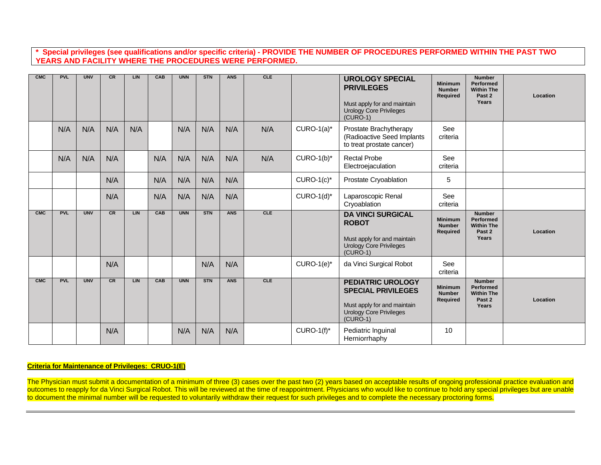**\* Special privileges (see qualifications and/or specific criteria) - PROVIDE THE NUMBER OF PROCEDURES PERFORMED WITHIN THE PAST TWO YEARS AND FACILITY WHERE THE PROCEDURES WERE PERFORMED.**

| <b>CMC</b> | <b>PVL</b> | <b>UNV</b> | CR  | LIN | CAB | <b>UNN</b> | <b>STN</b> | <b>ANS</b> | <b>CLE</b> |               | <b>UROLOGY SPECIAL</b><br><b>PRIVILEGES</b><br>Must apply for and maintain<br><b>Urology Core Privileges</b><br>$(CURO-1)$           | <b>Minimum</b><br><b>Number</b><br>Required | <b>Number</b><br><b>Performed</b><br><b>Within The</b><br>Past 2<br>Years | Location |
|------------|------------|------------|-----|-----|-----|------------|------------|------------|------------|---------------|--------------------------------------------------------------------------------------------------------------------------------------|---------------------------------------------|---------------------------------------------------------------------------|----------|
|            | N/A        | N/A        | N/A | N/A |     | N/A        | N/A        | N/A        | N/A        | $CURO-1(a)^*$ | Prostate Brachytherapy<br>(Radioactive Seed Implants<br>to treat prostate cancer)                                                    | See<br>criteria                             |                                                                           |          |
|            | N/A        | N/A        | N/A |     | N/A | N/A        | N/A        | N/A        | N/A        | $CURO-1(b)^*$ | <b>Rectal Probe</b><br>Electroejaculation                                                                                            | See<br>criteria                             |                                                                           |          |
|            |            |            | N/A |     | N/A | N/A        | N/A        | N/A        |            | $CURO-1(c)^*$ | Prostate Cryoablation                                                                                                                | 5                                           |                                                                           |          |
|            |            |            | N/A |     | N/A | N/A        | N/A        | N/A        |            | $CURO-1(d)^*$ | Laparoscopic Renal<br>Cryoablation                                                                                                   | See<br>criteria                             |                                                                           |          |
| <b>CMC</b> | <b>PVL</b> | <b>UNV</b> | CR  | LIN | CAB | <b>UNN</b> | <b>STN</b> | <b>ANS</b> | CLE        |               | <b>DA VINCI SURGICAL</b><br><b>ROBOT</b><br>Must apply for and maintain<br><b>Urology Core Privileges</b><br>$(CURO-1)$              | <b>Minimum</b><br><b>Number</b><br>Required | <b>Number</b><br>Performed<br><b>Within The</b><br>Past 2<br>Years        | Location |
|            |            |            | N/A |     |     |            | N/A        | N/A        |            | $CURO-1(e)^*$ | da Vinci Surgical Robot                                                                                                              | See<br>criteria                             |                                                                           |          |
| <b>CMC</b> | <b>PVL</b> | <b>UNV</b> | CR  | LIN | CAB | <b>UNN</b> | <b>STN</b> | <b>ANS</b> | CLE        |               | <b>PEDIATRIC UROLOGY</b><br><b>SPECIAL PRIVILEGES</b><br>Must apply for and maintain<br><b>Urology Core Privileges</b><br>$(CURO-1)$ | <b>Minimum</b><br><b>Number</b><br>Required | <b>Number</b><br>Performed<br><b>Within The</b><br>Past 2<br>Years        | Location |
|            |            |            | N/A |     |     | N/A        | N/A        | N/A        |            | $CURO-1(f)^*$ | Pediatric Inguinal<br>Herniorrhaphy                                                                                                  | 10                                          |                                                                           |          |

### **Criteria for Maintenance of Privileges: CRUO-1(E)**

The Physician must submit a documentation of a minimum of three (3) cases over the past two (2) years based on acceptable results of ongoing professional practice evaluation and outcomes to reapply for da Vinci Surgical Robot. This will be reviewed at the time of reappointment. Physicians who would like to continue to hold any special privileges but are unable to document the minimal number will be requested to voluntarily withdraw their request for such privileges and to complete the necessary proctoring forms.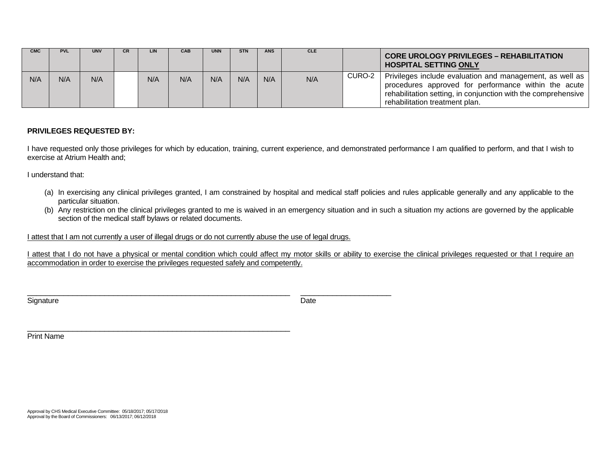| <b>CMC</b> | <b>PVL</b> | <b>UNV</b> | <b>CR</b> | LIN | <b>CAB</b> | <b>UNN</b> | <b>STN</b> | <b>ANS</b> | <b>CLE</b> |        | <b>CORE UROLOGY PRIVILEGES - REHABILITATION</b><br><b>HOSPITAL SETTING ONLY</b>                                                                                                                                     |
|------------|------------|------------|-----------|-----|------------|------------|------------|------------|------------|--------|---------------------------------------------------------------------------------------------------------------------------------------------------------------------------------------------------------------------|
| N/A        | N/A        | N/A        |           | N/A | N/A        | N/A        | N/A        | N/A        | N/A        | CURO-2 | Privileges include evaluation and management, as well as<br>procedures approved for performance within the acute<br>rehabilitation setting, in conjunction with the comprehensive<br>rehabilitation treatment plan. |

## **PRIVILEGES REQUESTED BY:**

I have requested only those privileges for which by education, training, current experience, and demonstrated performance I am qualified to perform, and that I wish to exercise at Atrium Health and;

I understand that:

- (a) In exercising any clinical privileges granted, I am constrained by hospital and medical staff policies and rules applicable generally and any applicable to the particular situation.
- (b) Any restriction on the clinical privileges granted to me is waived in an emergency situation and in such a situation my actions are governed by the applicable section of the medical staff bylaws or related documents.

I attest that I am not currently a user of illegal drugs or do not currently abuse the use of legal drugs.

\_\_\_\_\_\_\_\_\_\_\_\_\_\_\_\_\_\_\_\_\_\_\_\_\_\_\_\_\_\_\_\_\_\_\_\_\_\_\_\_\_\_\_\_\_\_\_\_\_\_\_\_\_\_\_\_\_\_

I attest that I do not have a physical or mental condition which could affect my motor skills or ability to exercise the clinical privileges requested or that I require an accommodation in order to exercise the privileges requested safely and competently.

Signature **Date** 

\_\_\_\_\_\_\_\_\_\_\_\_\_\_\_\_\_\_\_\_\_\_\_\_\_\_\_\_\_\_\_\_\_\_\_\_\_\_\_\_\_\_\_\_\_\_\_\_\_\_\_\_\_\_\_\_\_\_ \_\_\_\_\_\_\_\_\_\_\_\_\_\_\_\_\_\_\_\_

Print Name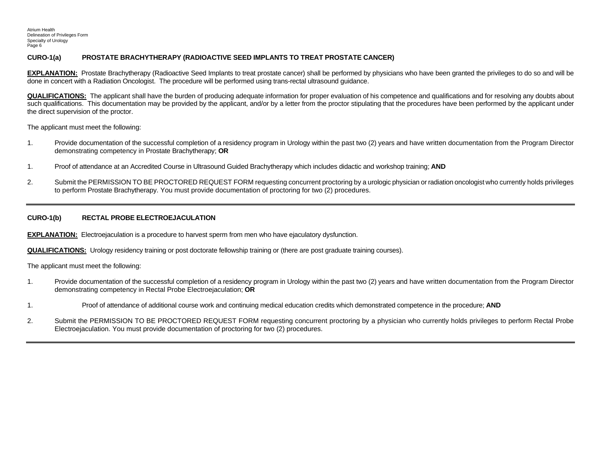#### **CURO-1(a) PROSTATE BRACHYTHERAPY (RADIOACTIVE SEED IMPLANTS TO TREAT PROSTATE CANCER)**

**EXPLANATION:** Prostate Brachytherapy (Radioactive Seed Implants to treat prostate cancer) shall be performed by physicians who have been granted the privileges to do so and will be done in concert with a Radiation Oncologist. The procedure will be performed using trans-rectal ultrasound guidance.

**QUALIFICATIONS:** The applicant shall have the burden of producing adequate information for proper evaluation of his competence and qualifications and for resolving any doubts about such qualifications. This documentation may be provided by the applicant, and/or by a letter from the proctor stipulating that the procedures have been performed by the applicant under the direct supervision of the proctor.

The applicant must meet the following:

- 1. Provide documentation of the successful completion of a residency program in Urology within the past two (2) years and have written documentation from the Program Director demonstrating competency in Prostate Brachytherapy; **OR**
- 1. Proof of attendance at an Accredited Course in Ultrasound Guided Brachytherapy which includes didactic and workshop training; **AND**
- 2. Submit the PERMISSION TO BE PROCTORED REQUEST FORM requesting concurrent proctoring by a urologic physician or radiation oncologist who currently holds privileges to perform Prostate Brachytherapy. You must provide documentation of proctoring for two (2) procedures.

#### **CURO-1(b) RECTAL PROBE ELECTROEJACULATION**

**EXPLANATION:** Electroejaculation is a procedure to harvest sperm from men who have ejaculatory dysfunction.

**QUALIFICATIONS:** Urology residency training or post doctorate fellowship training or (there are post graduate training courses).

The applicant must meet the following:

- 1. Provide documentation of the successful completion of a residency program in Urology within the past two (2) years and have written documentation from the Program Director demonstrating competency in Rectal Probe Electroejaculation; **OR**
- 1. Proof of attendance of additional course work and continuing medical education credits which demonstrated competence in the procedure; **AND**
- 2. Submit the PERMISSION TO BE PROCTORED REQUEST FORM requesting concurrent proctoring by a physician who currently holds privileges to perform Rectal Probe Electroejaculation. You must provide documentation of proctoring for two (2) procedures.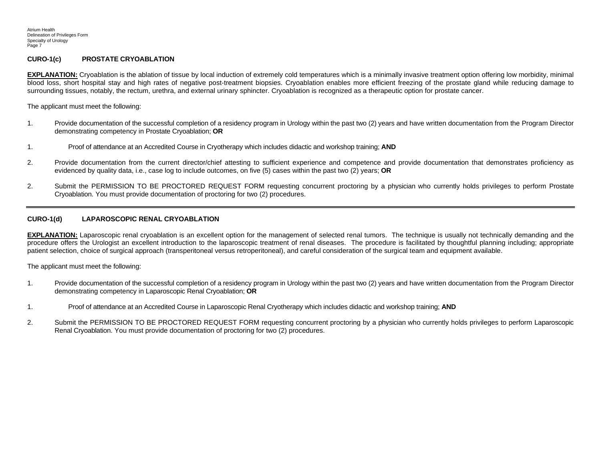#### **CURO-1(c) PROSTATE CRYOABLATION**

**EXPLANATION:** Cryoablation is the ablation of tissue by local induction of extremely cold temperatures which is a minimally invasive treatment option offering low morbidity, minimal blood loss, short hospital stay and high rates of negative post-treatment biopsies. Cryoablation enables more efficient freezing of the prostate gland while reducing damage to surrounding tissues, notably, the rectum, urethra, and external urinary sphincter. Cryoablation is recognized as a therapeutic option for prostate cancer.

The applicant must meet the following:

- 1. Provide documentation of the successful completion of a residency program in Urology within the past two (2) years and have written documentation from the Program Director demonstrating competency in Prostate Cryoablation; **OR**
- 1. Proof of attendance at an Accredited Course in Cryotherapy which includes didactic and workshop training; **AND**
- 2. Provide documentation from the current director/chief attesting to sufficient experience and competence and provide documentation that demonstrates proficiency as evidenced by quality data, i.e., case log to include outcomes, on five (5) cases within the past two (2) years; **OR**
- 2. Submit the PERMISSION TO BE PROCTORED REQUEST FORM requesting concurrent proctoring by a physician who currently holds privileges to perform Prostate Cryoablation. You must provide documentation of proctoring for two (2) procedures.

#### **CURO-1(d) LAPAROSCOPIC RENAL CRYOABLATION**

**EXPLANATION:** Laparoscopic renal cryoablation is an excellent option for the management of selected renal tumors. The technique is usually not technically demanding and the procedure offers the Urologist an excellent introduction to the laparoscopic treatment of renal diseases. The procedure is facilitated by thoughtful planning including; appropriate patient selection, choice of surgical approach (transperitoneal versus retroperitoneal), and careful consideration of the surgical team and equipment available.

The applicant must meet the following:

- 1. Provide documentation of the successful completion of a residency program in Urology within the past two (2) years and have written documentation from the Program Director demonstrating competency in Laparoscopic Renal Cryoablation; **OR**
- 1. Proof of attendance at an Accredited Course in Laparoscopic Renal Cryotherapy which includes didactic and workshop training; **AND**
- 2. Submit the PERMISSION TO BE PROCTORED REQUEST FORM requesting concurrent proctoring by a physician who currently holds privileges to perform Laparoscopic Renal Cryoablation. You must provide documentation of proctoring for two (2) procedures.